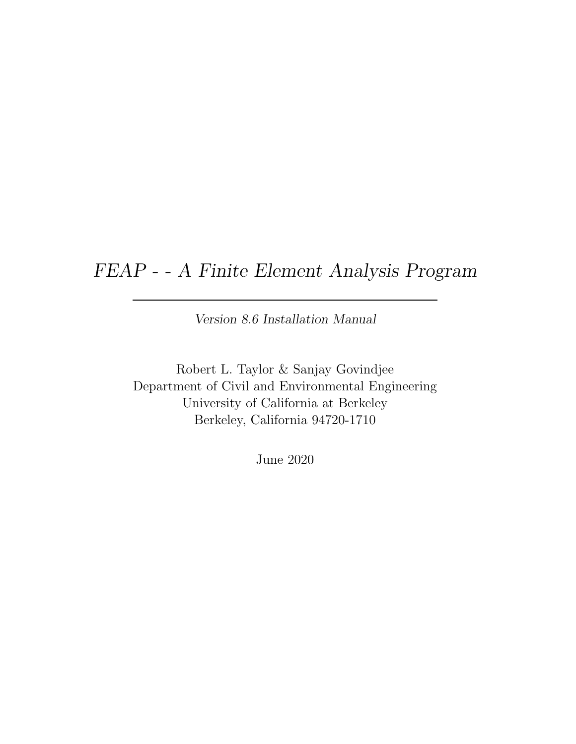# FEAP - - A Finite Element Analysis Program

Version 8.6 Installation Manual

Robert L. Taylor & Sanjay Govindjee Department of Civil and Environmental Engineering University of California at Berkeley Berkeley, California 94720-1710

June 2020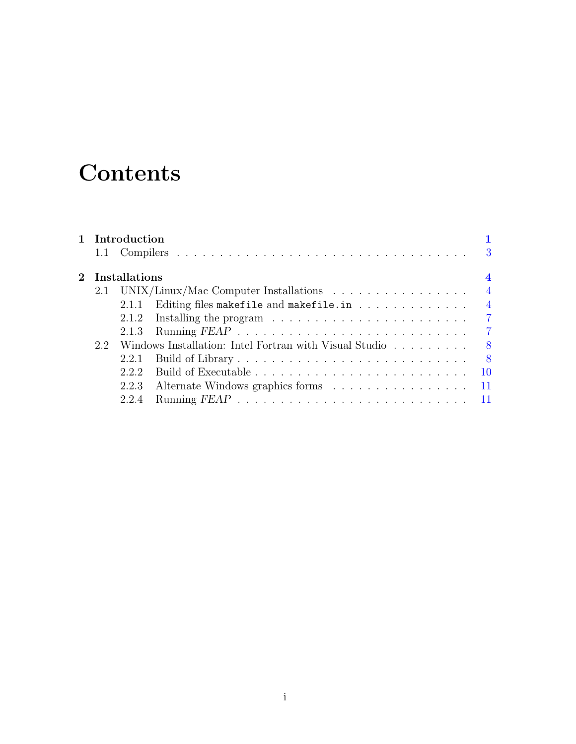# **Contents**

|                   |  | 1 Introduction |                                                                                  | 3              |
|-------------------|--|----------------|----------------------------------------------------------------------------------|----------------|
| $2$ Installations |  |                |                                                                                  |                |
|                   |  |                | 2.1 UNIX/Linux/Mac Computer Installations                                        | $\overline{4}$ |
|                   |  | 2.1.1          | Editing files makefile and makefile.in $\dots \dots \dots \dots$                 | $\overline{4}$ |
|                   |  | 2.1.2          | Installing the program $\ldots \ldots \ldots \ldots \ldots \ldots \ldots \ldots$ |                |
|                   |  | 2.1.3          |                                                                                  |                |
| 2.2               |  |                | Windows Installation: Intel Fortran with Visual Studio 8                         |                |
|                   |  | 2.2.1          |                                                                                  |                |
|                   |  | 222            |                                                                                  |                |
|                   |  | 2.2.3          | Alternate Windows graphics forms 11                                              |                |
|                   |  | 2.2.4          |                                                                                  |                |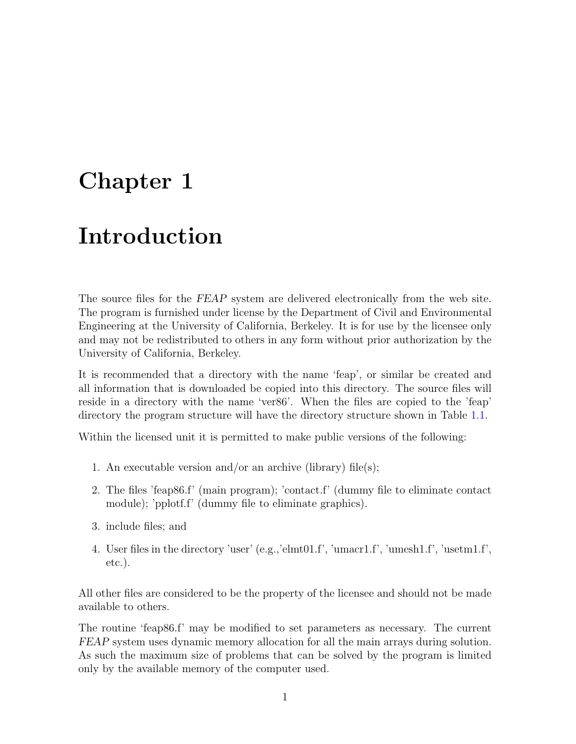# <span id="page-2-0"></span>Chapter 1

# Introduction

The source files for the FEAP system are delivered electronically from the web site. The program is furnished under license by the Department of Civil and Environmental Engineering at the University of California, Berkeley. It is for use by the licensee only and may not be redistributed to others in any form without prior authorization by the University of California, Berkeley.

It is recommended that a directory with the name 'feap', or similar be created and all information that is downloaded be copied into this directory. The source files will reside in a directory with the name 'ver86'. When the files are copied to the 'feap' directory the program structure will have the directory structure shown in Table [1.1.](#page-3-0)

Within the licensed unit it is permitted to make public versions of the following:

- 1. An executable version and/or an archive (library) file(s);
- 2. The files 'feap86.f' (main program); 'contact.f' (dummy file to eliminate contact module); 'pplotf.f' (dummy file to eliminate graphics).
- 3. include files; and
- 4. User files in the directory 'user' (e.g.,'elmt01.f', 'umacr1.f', 'umesh1.f', 'usetm1.f', etc.).

All other files are considered to be the property of the licensee and should not be made available to others.

The routine 'feap86.f' may be modified to set parameters as necessary. The current FEAP system uses dynamic memory allocation for all the main arrays during solution. As such the maximum size of problems that can be solved by the program is limited only by the available memory of the computer used.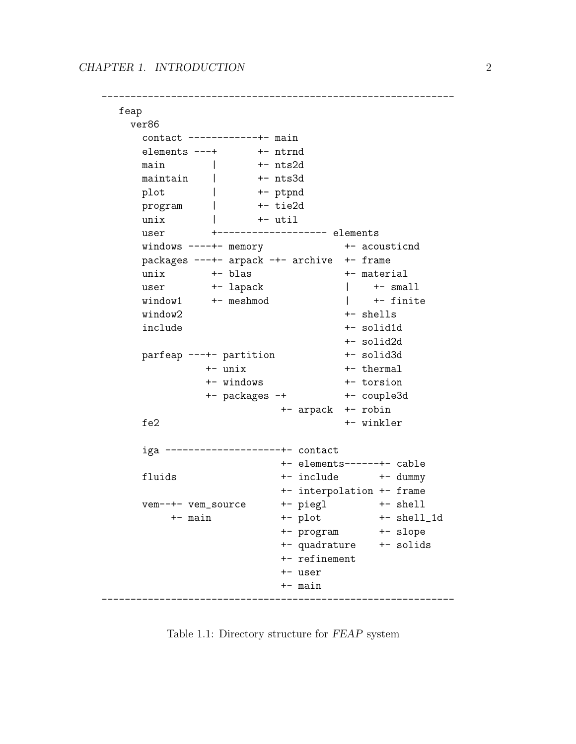------------------------------------------------------------ feap ver86 contact ------------+- main elements ---+ +- ntrnd main | +- nts2d maintain | +- nts3d plot | +- ptpnd program | +- tie2d unix | +- util user +------------------- elements windows ----+- memory +- acousticnd packages ---+- arpack -+- archive +- frame unix  $+-$  blas  $+-$  material user +- lapack | +- small  $\begin{tabular}{lllll} \hline \texttt{window1} & \texttt{+- meshmod} & & & & & \texttt{+- finite} \end{tabular}$ window2 +- shells include +- solid1d +- solid2d parfeap ---+- partition +- solid3d +- unix +- thermal +- windows +- torsion +- packages -+ +- couple3d +- arpack +- robin fe2 +- winkler iga --------------------+- contact +- elements------+- cable fluids  $+$  include  $+$  dummy +- interpolation +- frame vem--+- vem\_source +- piegl +- shell +- main +- plot +- shell\_1d +- program +- slope +- quadrature +- solids +- refinement +- user +- main -------------------------------------------------------------

<span id="page-3-0"></span>Table 1.1: Directory structure for FEAP system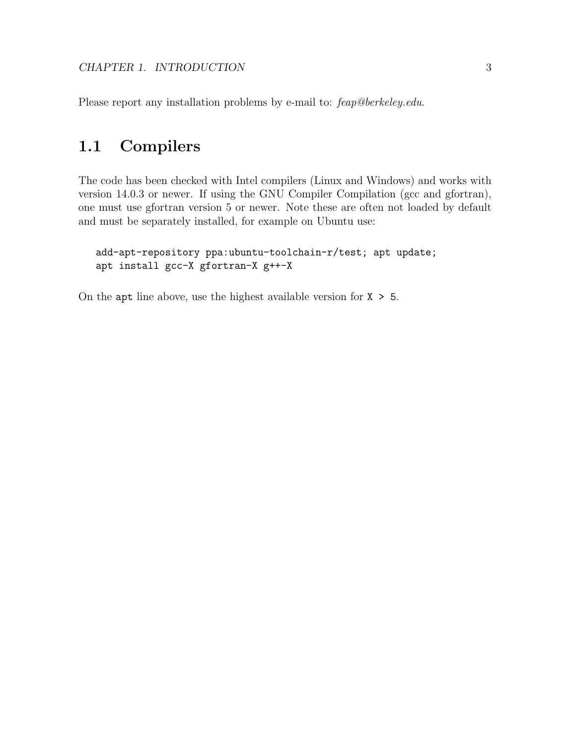Please report any installation problems by e-mail to: feap@berkeley.edu.

## <span id="page-4-0"></span>1.1 Compilers

The code has been checked with Intel compilers (Linux and Windows) and works with version 14.0.3 or newer. If using the GNU Compiler Compilation (gcc and gfortran), one must use gfortran version 5 or newer. Note these are often not loaded by default and must be separately installed, for example on Ubuntu use:

```
add-apt-repository ppa:ubuntu-toolchain-r/test; apt update;
apt install gcc-X gfortran-X g++-X
```
On the apt line above, use the highest available version for  $X > 5$ .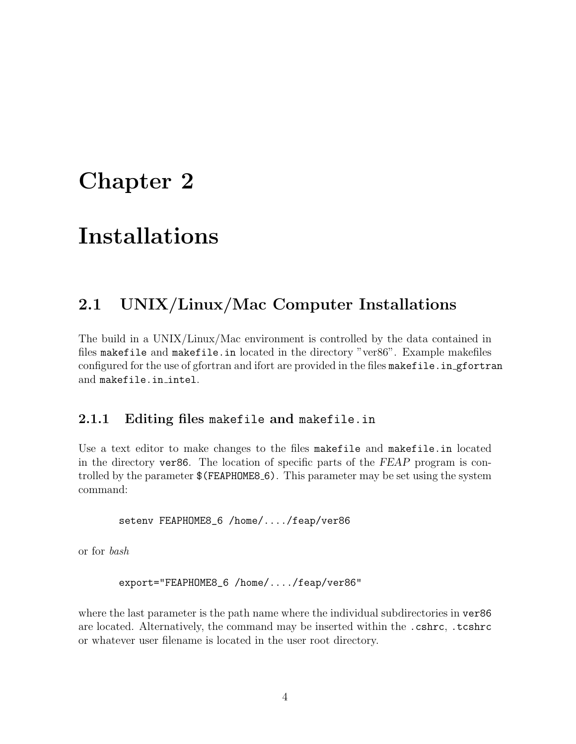# <span id="page-5-0"></span>Chapter 2

# Installations

## <span id="page-5-1"></span>2.1 UNIX/Linux/Mac Computer Installations

The build in a UNIX/Linux/Mac environment is controlled by the data contained in files makefile and makefile.in located in the directory "ver86". Example makefiles configured for the use of gfortran and ifort are provided in the files makefile.in gfortran and makefile.in intel.

## <span id="page-5-2"></span>2.1.1 Editing files makefile and makefile.in

Use a text editor to make changes to the files makefile and makefile.in located in the directory ver86. The location of specific parts of the FEAP program is controlled by the parameter  $\$(FEAPHOMES_6)$ . This parameter may be set using the system command:

setenv FEAPHOME8\_6 /home/..../feap/ver86

or for bash

export="FEAPHOME8\_6 /home/..../feap/ver86"

where the last parameter is the path name where the individual subdirectories in  $\text{ver86}$ are located. Alternatively, the command may be inserted within the .cshrc, .tcshrc or whatever user filename is located in the user root directory.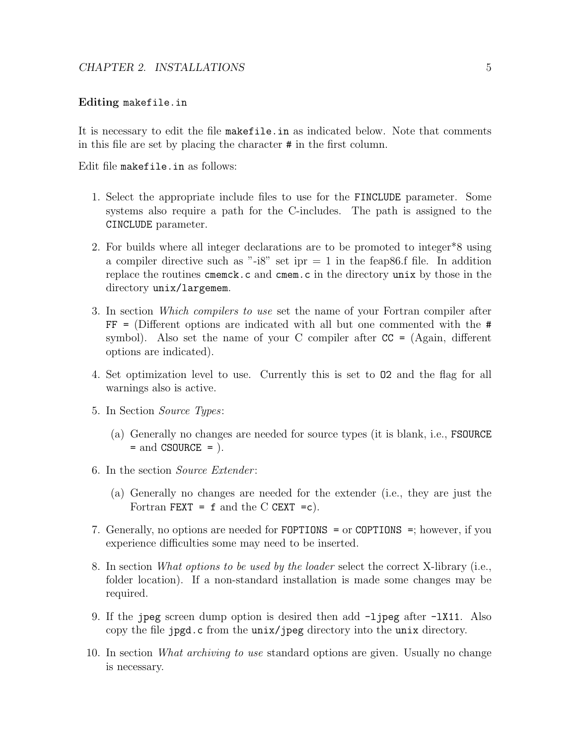#### Editing makefile.in

It is necessary to edit the file makefile.in as indicated below. Note that comments in this file are set by placing the character # in the first column.

Edit file makefile.in as follows:

- 1. Select the appropriate include files to use for the FINCLUDE parameter. Some systems also require a path for the C-includes. The path is assigned to the CINCLUDE parameter.
- 2. For builds where all integer declarations are to be promoted to integer\*8 using a compiler directive such as "-i8" set ipr  $= 1$  in the feap 86.f file. In addition replace the routines cmemck.c and cmem.c in the directory unix by those in the directory unix/largemem.
- 3. In section Which compilers to use set the name of your Fortran compiler after  $FF =$  (Different options are indicated with all but one commented with the  $#$ symbol). Also set the name of your C compiler after  $CC = (Again, different$ options are indicated).
- 4. Set optimization level to use. Currently this is set to O2 and the flag for all warnings also is active.
- 5. In Section Source Types:
	- (a) Generally no changes are needed for source types (it is blank, i.e., FSOURCE  $=$  and CSOURCE  $=$  ).
- 6. In the section Source Extender :
	- (a) Generally no changes are needed for the extender (i.e., they are just the Fortran FEXT =  $f$  and the C CEXT = $c$ ).
- 7. Generally, no options are needed for FOPTIONS = or COPTIONS =; however, if you experience difficulties some may need to be inserted.
- 8. In section What options to be used by the loader select the correct X-library (i.e., folder location). If a non-standard installation is made some changes may be required.
- 9. If the jpeg screen dump option is desired then add  $-I$  jpeg after  $-IX11$ . Also copy the file jpgd.c from the unix/jpeg directory into the unix directory.
- 10. In section What archiving to use standard options are given. Usually no change is necessary.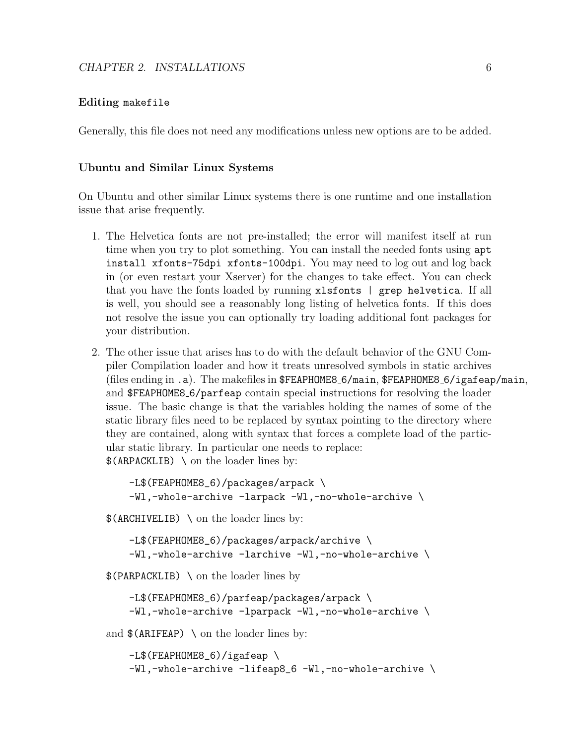#### Editing makefile

Generally, this file does not need any modifications unless new options are to be added.

#### Ubuntu and Similar Linux Systems

On Ubuntu and other similar Linux systems there is one runtime and one installation issue that arise frequently.

- 1. The Helvetica fonts are not pre-installed; the error will manifest itself at run time when you try to plot something. You can install the needed fonts using apt install xfonts-75dpi xfonts-100dpi. You may need to log out and log back in (or even restart your Xserver) for the changes to take effect. You can check that you have the fonts loaded by running xlsfonts | grep helvetica. If all is well, you should see a reasonably long listing of helvetica fonts. If this does not resolve the issue you can optionally try loading additional font packages for your distribution.
- 2. The other issue that arises has to do with the default behavior of the GNU Compiler Compilation loader and how it treats unresolved symbols in static archives (files ending in .a). The makefiles in \$FEAPHOME8 6/main, \$FEAPHOME8 6/igafeap/main, and \$FEAPHOME8 6/parfeap contain special instructions for resolving the loader issue. The basic change is that the variables holding the names of some of the static library files need to be replaced by syntax pointing to the directory where they are contained, along with syntax that forces a complete load of the particular static library. In particular one needs to replace: \$(ARPACKLIB) \ on the loader lines by:

```
-L$(FEAPHOME8_6)/packages/arpack \
-Wl,-whole-archive -larpack -Wl,-no-whole-archive \
```
\$(ARCHIVELIB) \ on the loader lines by:

-L\$(FEAPHOME8\_6)/packages/arpack/archive \ -Wl,-whole-archive -larchive -Wl,-no-whole-archive \

\$(PARPACKLIB) \ on the loader lines by

-L\$(FEAPHOME8\_6)/parfeap/packages/arpack \ -Wl,-whole-archive -lparpack -Wl,-no-whole-archive \

and  $\$(ARIFEAP) \ \\ on\ the\ loader\ lines\ by:$ 

```
-L$(FEAPHOME8_6)/igafeap \
-Wl,-whole-archive -lifeap8_6 -Wl,-no-whole-archive \
```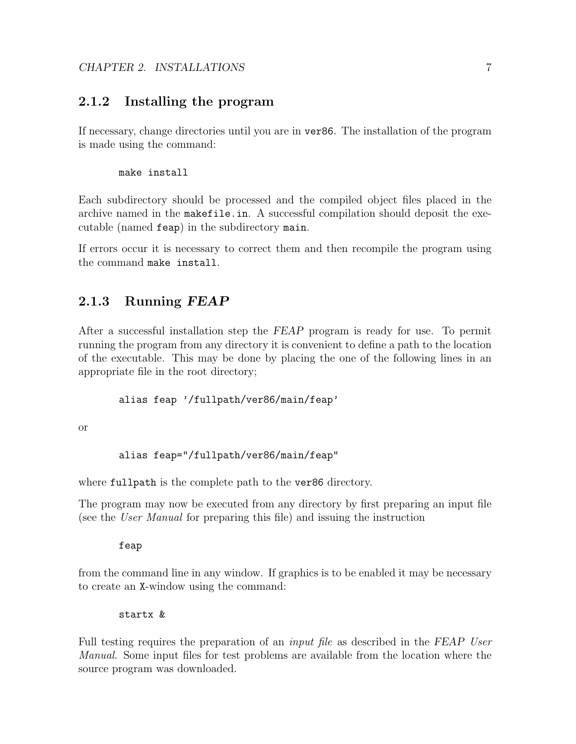### <span id="page-8-0"></span>2.1.2 Installing the program

If necessary, change directories until you are in ver86. The installation of the program is made using the command:

#### make install

Each subdirectory should be processed and the compiled object files placed in the archive named in the makefile.in. A successful compilation should deposit the executable (named feap) in the subdirectory main.

If errors occur it is necessary to correct them and then recompile the program using the command make install.

### <span id="page-8-1"></span>2.1.3 Running FEAP

After a successful installation step the FEAP program is ready for use. To permit running the program from any directory it is convenient to define a path to the location of the executable. This may be done by placing the one of the following lines in an appropriate file in the root directory;

#### alias feap '/fullpath/ver86/main/feap'

or

```
alias feap="/fullpath/ver86/main/feap"
```
where fullpath is the complete path to the ver86 directory.

The program may now be executed from any directory by first preparing an input file (see the User Manual for preparing this file) and issuing the instruction

feap

from the command line in any window. If graphics is to be enabled it may be necessary to create an X-window using the command:

startx &

Full testing requires the preparation of an *input file* as described in the FEAP User Manual. Some input files for test problems are available from the location where the source program was downloaded.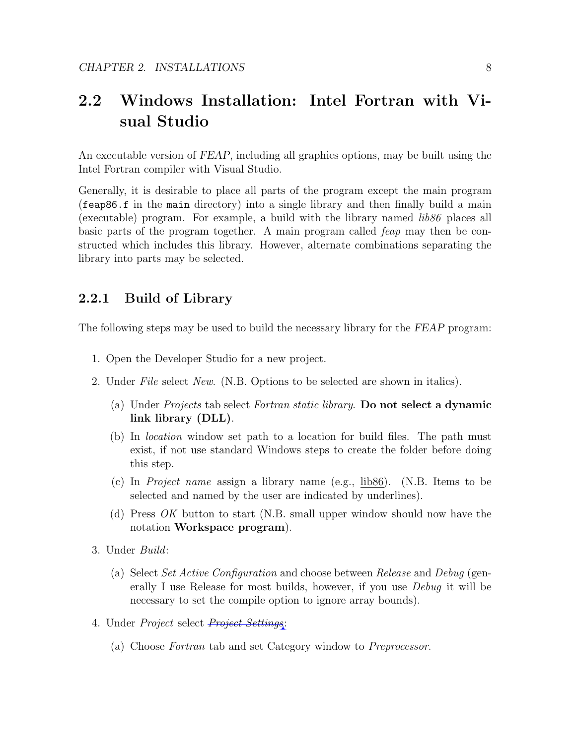# <span id="page-9-0"></span>2.2 Windows Installation: Intel Fortran with Visual Studio

An executable version of FEAP, including all graphics options, may be built using the Intel Fortran compiler with Visual Studio.

Generally, it is desirable to place all parts of the program except the main program (feap86.f in the main directory) into a single library and then finally build a main (executable) program. For example, a build with the library named  $\hat{lib86}$  places all basic parts of the program together. A main program called feap may then be constructed which includes this library. However, alternate combinations separating the library into parts may be selected.

### <span id="page-9-1"></span>2.2.1 Build of Library

The following steps may be used to build the necessary library for the FEAP program:

- 1. Open the Developer Studio for a new project.
- 2. Under File select New. (N.B. Options to be selected are shown in italics).
	- (a) Under *Projects* tab select *Fortran static library*. Do not select a dynamic link library (DLL).
	- (b) In location window set path to a location for build files. The path must exist, if not use standard Windows steps to create the folder before doing this step.
	- (c) In Project name assign a library name (e.g., lib86). (N.B. Items to be selected and named by the user are indicated by underlines).
	- (d) Press OK button to start (N.B. small upper window should now have the notation Workspace program).
- 3. Under Build:
	- (a) Select Set Active Configuration and choose between Release and Debug (generally I use Release for most builds, however, if you use Debug it will be necessary to set the compile option to ignore array bounds).
- 4. Under *Project* select *Project Settings*:
	- (a) Choose Fortran tab and set Category window to Preprocessor.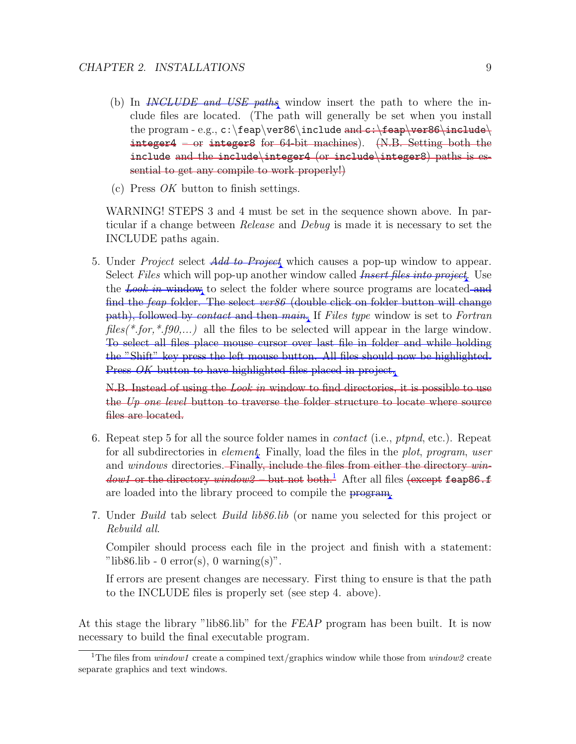- (b) In *INCLUDE and USE paths* window insert the path to where the include files are located. (The path will generally be set when you install the program - e.g.,  $c:\f{eap\ver86\in\text{Ghea}}$  and  $c:\f{eap\ver86\in\text{Ghea}}$ integer4 – or integer8 for 64-bit machines). (N.B. Setting both the include and the include\integer4 (or include\integer8) paths is essential to get any compile to work properly!)
- (c) Press OK button to finish settings.

WARNING! STEPS 3 and 4 must be set in the sequence shown above. In particular if a change between Release and Debug is made it is necessary to set the INCLUDE paths again.

5. Under *Project* select *Add to Project* which causes a pop-up window to appear. Select Files which will pop-up another window called *Insert files into project*. Use the Look in window to select the folder where source programs are located and find the feap folder. The select ver86 (double click on folder button will change path), followed by contact and then main. If Files type window is set to Fortran  $files(*.for, *.fg0,...)$  all the files to be selected will appear in the large window. To select all files place mouse cursor over last file in folder and while holding the "Shift" key press the left mouse button. All files should now be highlighted. Press *OK* button to have highlighted files placed in project.

N.B. Instead of using the Look in window to find directories, it is possible to use the U<sub>p</sub> one level button to traverse the folder structure to locate where source files are located.

- 6. Repeat step 5 for all the source folder names in *contact* (i.e., *ptpnd*, etc.). Repeat for all subdirectories in element. Finally, load the files in the plot, program, user and windows directories. Finally, include the files from either the directory win-*dow[1](#page-10-0)* or the directory window2 – but not both.<sup>1</sup> After all files (except feap86.f are loaded into the library proceed to compile the program.
- 7. Under Build tab select Build lib86.lib (or name you selected for this project or Rebuild all.

Compiler should process each file in the project and finish with a statement: "lib86.lib - 0 error(s), 0 warning(s)".

If errors are present changes are necessary. First thing to ensure is that the path to the INCLUDE files is properly set (see step 4. above).

At this stage the library "lib86.lib" for the FEAP program has been built. It is now necessary to build the final executable program.

<span id="page-10-0"></span><sup>&</sup>lt;sup>1</sup>The files from *window1* create a compined text/graphics window while those from *window2* create separate graphics and text windows.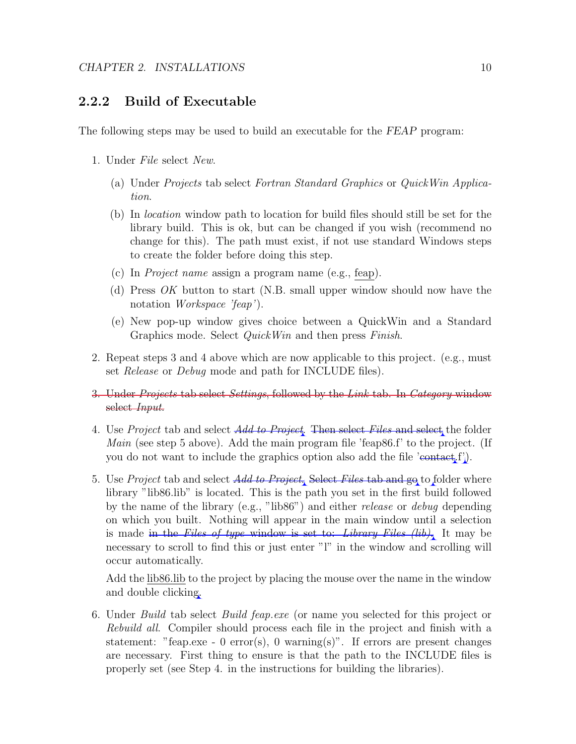### <span id="page-11-0"></span>2.2.2 Build of Executable

The following steps may be used to build an executable for the FEAP program:

- 1. Under File select New.
	- (a) Under Projects tab select Fortran Standard Graphics or QuickWin Application.
	- (b) In location window path to location for build files should still be set for the library build. This is ok, but can be changed if you wish (recommend no change for this). The path must exist, if not use standard Windows steps to create the folder before doing this step.
	- (c) In Project name assign a program name (e.g., feap).
	- (d) Press OK button to start (N.B. small upper window should now have the notation Workspace 'feap').
	- (e) New pop-up window gives choice between a QuickWin and a Standard Graphics mode. Select *QuickWin* and then press *Finish*.
- 2. Repeat steps 3 and 4 above which are now applicable to this project. (e.g., must set Release or Debug mode and path for INCLUDE files).
- 3. Under *Projects* tab select *Settings*, followed by the *Link* tab. In *Category* window select Input.
- 4. Use Project tab and select *Add to Project*. Then select Files and select the folder Main (see step 5 above). Add the main program file 'feap86.f' to the project. (If you do not want to include the graphics option also add the file 'contact,  $f'$ ).
- 5. Use *Project* tab and select *Add to Project*. Select *Files* tab and go to folder where library "lib86.lib" is located. This is the path you set in the first build followed by the name of the library (e.g., "lib86") and either release or debug depending on which you built. Nothing will appear in the main window until a selection is made in the Files of type window is set to: Library Files  $(lib)$ . It may be necessary to scroll to find this or just enter "l" in the window and scrolling will occur automatically.

Add the lib86.lib to the project by placing the mouse over the name in the window and double clicking.

6. Under Build tab select Build feap.exe (or name you selected for this project or Rebuild all. Compiler should process each file in the project and finish with a statement: "feap.exe - 0 error(s), 0 warning(s)". If errors are present changes are necessary. First thing to ensure is that the path to the INCLUDE files is properly set (see Step 4. in the instructions for building the libraries).